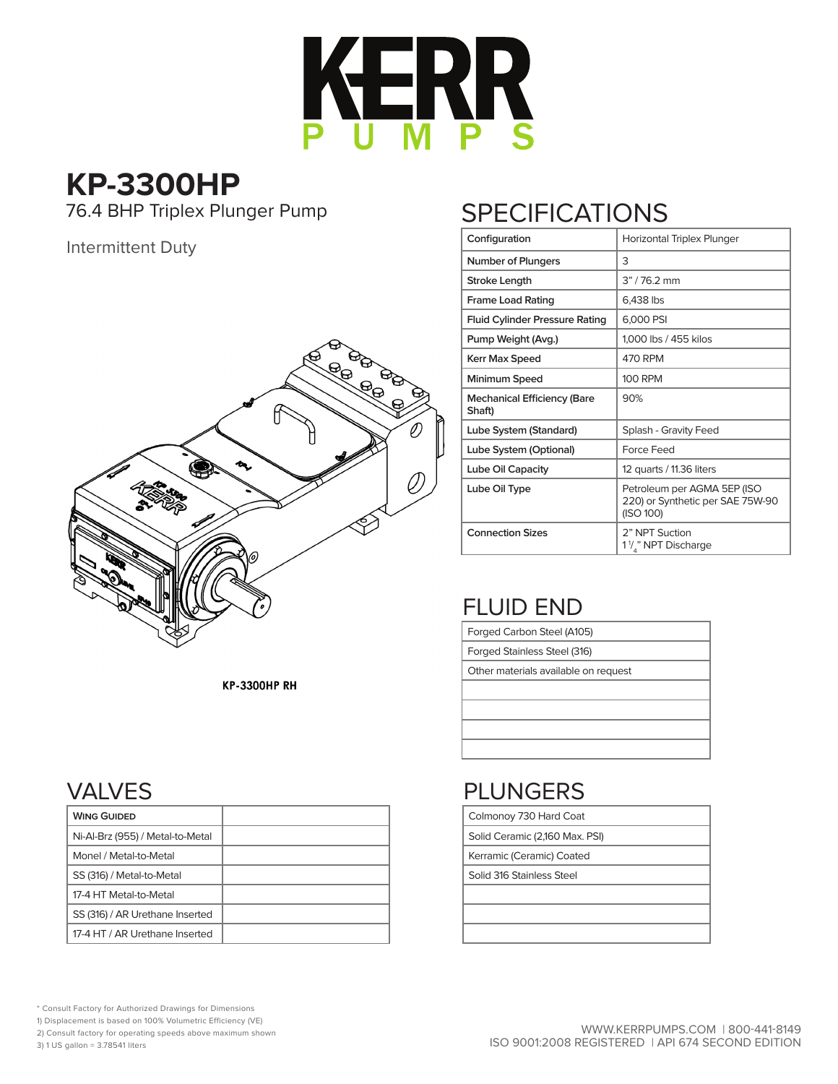

**KP-3300HP** 76.4 BHP Triplex Plunger Pump

#### Intermittent Duty



# **SPECIFICATIONS**

| Configuration                                | Horizontal Triplex Plunger                                                   |  |  |  |  |  |  |  |
|----------------------------------------------|------------------------------------------------------------------------------|--|--|--|--|--|--|--|
| <b>Number of Plungers</b>                    | 3                                                                            |  |  |  |  |  |  |  |
| Stroke Length                                | $3" / 762$ mm                                                                |  |  |  |  |  |  |  |
| <b>Frame Load Rating</b>                     | 6,438 lbs                                                                    |  |  |  |  |  |  |  |
| <b>Fluid Cylinder Pressure Rating</b>        | 6,000 PSI                                                                    |  |  |  |  |  |  |  |
| Pump Weight (Avg.)                           | 1,000 lbs / 455 kilos                                                        |  |  |  |  |  |  |  |
| Kerr Max Speed                               | 470 RPM                                                                      |  |  |  |  |  |  |  |
| Minimum Speed                                | <b>100 RPM</b>                                                               |  |  |  |  |  |  |  |
| <b>Mechanical Efficiency (Bare</b><br>Shaft) | 90%                                                                          |  |  |  |  |  |  |  |
| Lube System (Standard)                       | Splash - Gravity Feed                                                        |  |  |  |  |  |  |  |
| Lube System (Optional)                       | Force Feed                                                                   |  |  |  |  |  |  |  |
| Lube Oil Capacity                            | 12 quarts / 11.36 liters                                                     |  |  |  |  |  |  |  |
| Lube Oil Type                                | Petroleum per AGMA 5EP (ISO<br>220) or Synthetic per SAE 75W-90<br>(ISO 100) |  |  |  |  |  |  |  |
| <b>Connection Sizes</b>                      | 2" NPT Suction<br>1 <sup>1</sup> / <sub>s</sub> " NPT Discharge              |  |  |  |  |  |  |  |

### FLUID END

Forged Carbon Steel (A105)

Forged Stainless Steel (316)

Other materials available on request

**KP-3300HP RH** 

### VALVES

| <b>WING GUIDED</b>               |
|----------------------------------|
| Ni-Al-Brz (955) / Metal-to-Metal |
| Monel / Metal-to-Metal           |
| SS (316) / Metal-to-Metal        |
| 17-4 HT Metal-to-Metal           |
| SS (316) / AR Urethane Inserted  |
| 17-4 HT / AR Urethane Inserted   |

# PLUNGERS

Colmonoy 730 Hard Coat

Solid Ceramic (2,160 Max. PSI)

Kerramic (Ceramic) Coated

Solid 316 Stainless Steel

\* Consult Factory for Authorized Drawings for Dimensions

1) Displacement is based on 100% Volumetric Efficiency (VE)

2) Consult factory for operating speeds above maximum shown 3) 1 US gallon = 3.78541 liters